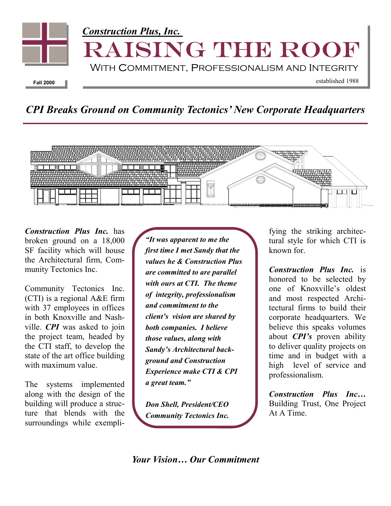

## *CPI Breaks Ground on Community Tectonics' New Corporate Headquarters*



*Construction Plus Inc.* has broken ground on a 18,000 SF facility which will house the Architectural firm, Community Tectonics Inc.

Community Tectonics Inc. (CTI) is a regional A&E firm with 37 employees in offices in both Knoxville and Nashville. *CPI* was asked to join the project team, headed by the CTI staff, to develop the state of the art office building with maximum value.

The systems implemented along with the design of the building will produce a structure that blends with the surroundings while exempli-

*"It was apparent to me the first time I met Sandy that the values he & Construction Plus are committed to are parallel with ours at CTI. The theme of integrity, professionalism and commitment to the client's vision are shared by both companies. I believe those values, along with Sandy's Architectural background and Construction Experience make CTI & CPI a great team."* 

*Don Shell, President/CEO Community Tectonics Inc.*  fying the striking architectural style for which CTI is known for.

*Construction Plus Inc.* is honored to be selected by one of Knoxville's oldest and most respected Architectural firms to build their corporate headquarters. We believe this speaks volumes about *CPI's* proven ability to deliver quality projects on time and in budget with a high level of service and professionalism.

*Construction Plus Inc…* Building Trust, One Project At A Time.

*Your Vision… Our Commitment*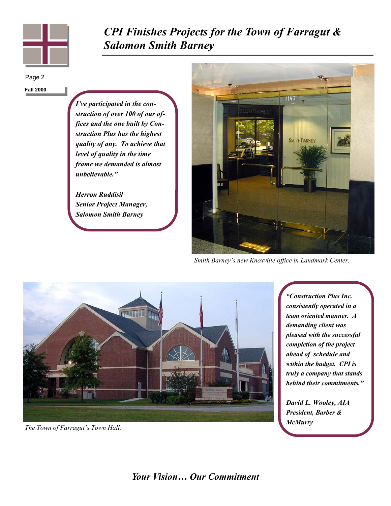

*CPI Finishes Projects for the Town of Farragut & Salomon Smith Barney* 

Page 2

**Fall 2000** 

*I've participated in the construction of over 100 of our offices and the one built by Construction Plus has the highest quality of any. To achieve that level of quality in the time frame we demanded is almost unbelievable."* 

*Herron Ruddisil Senior Project Manager, Salomon Smith Barney* 



*Smith Barney's new Knoxville office in Landmark Center.* 



*The Town of Farragut's Town Hall.* 

*"Construction Plus Inc. consistently operated in a team oriented manner. A demanding client was pleased with the successful completion of the project ahead of schedule and within the budget. CPI is truly a company that stands behind their commitments."* 

*David L. Wooley, AIA President, Barber & McMurry*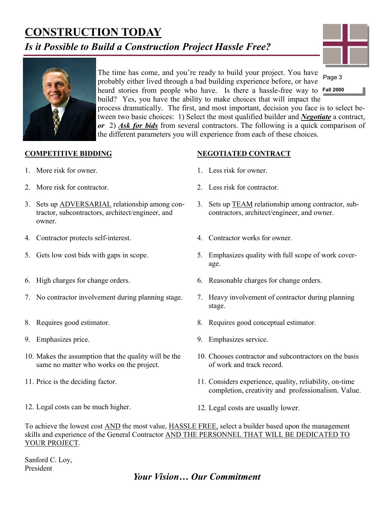# **CONSTRUCTION TODAY**

### *Is it Possible to Build a Construction Project Hassle Free?*





The time has come, and you're ready to build your project. You have probably either lived through a bad building experience before, or have heard stories from people who have. Is there a hassle-free way to **Fall 2000**  build? Yes, you have the ability to make choices that will impact the process dramatically. The first, and most important, decision you face is to select between two basic choices: 1) Select the most qualified builder and *Negotiate* a contract, *or* 2) *Ask for bids* from several contractors. The following is a quick comparison of the different parameters you will experience from each of these choices. Page 3

#### **COMPETITIVE BIDDING**

- 1. More risk for owner.
- 2. More risk for contractor.
- 3. Sets up ADVERSARIAL relationship among contractor, subcontractors, architect/engineer, and owner.
- 4. Contractor protects self-interest.
- 5. Gets low cost bids with gaps in scope.
- 6. High charges for change orders.
- 7. No contractor involvement during planning stage.
- 8. Requires good estimator.
- 9. Emphasizes price.
- 10. Makes the assumption that the quality will be the same no matter who works on the project.
- 11. Price is the deciding factor.
- 12. Legal costs can be much higher.
- **NEGOTIATED CONTRACT**
- 1. Less risk for owner.
- 2. Less risk for contractor.
- 3. Sets up TEAM relationship among contractor, subcontractors, architect/engineer, and owner.
- 4. Contractor works for owner.
- 5. Emphasizes quality with full scope of work coverage.
- 6. Reasonable charges for change orders.
- 7. Heavy involvement of contractor during planning stage.
- 8. Requires good conceptual estimator.
- 9. Emphasizes service.
- 10. Chooses contractor and subcontractors on the basis of work and track record.
- 11. Considers experience, quality, reliability, on-time completion, creativity and professionalism. Value.
- 12. Legal costs are usually lower.

To achieve the lowest cost AND the most value, HASSLE FREE, select a builder based upon the management skills and experience of the General Contractor AND THE PERSONNEL THAT WILL BE DEDICATED TO YOUR PROJECT.

Sanford C. Loy, President

#### *Your Vision… Our Commitment*